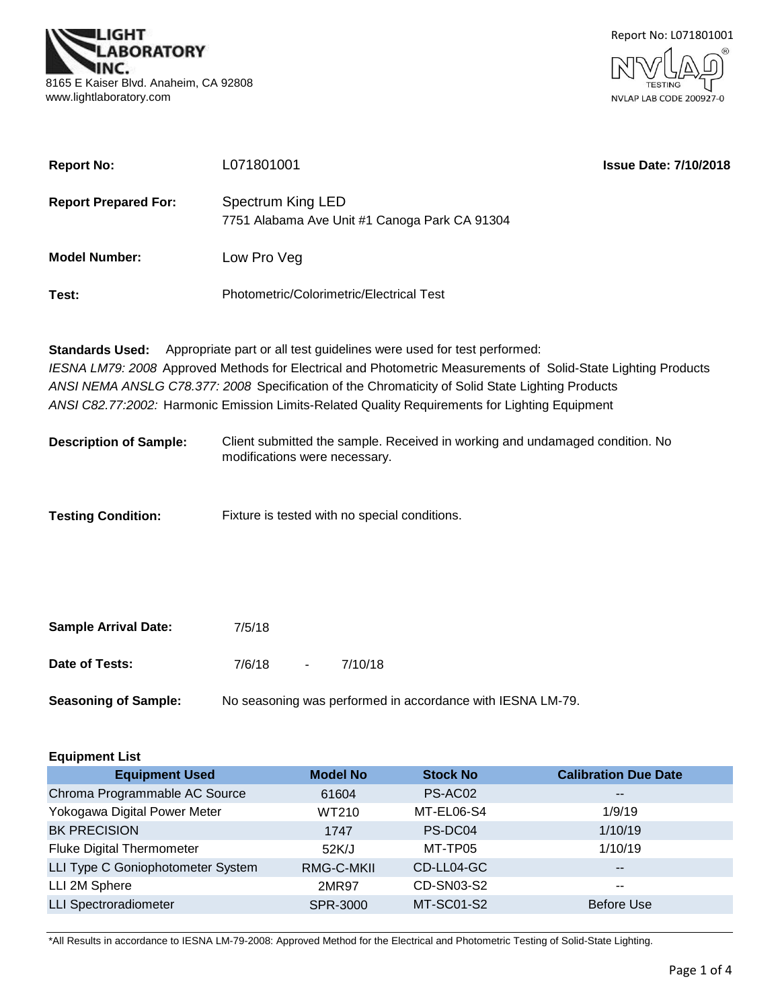



| <b>Report No:</b>             | L071801001                                    |                                                                                                                                                                                                                                                                                                                                                                                               | <b>Issue Date: 7/10/2018</b> |
|-------------------------------|-----------------------------------------------|-----------------------------------------------------------------------------------------------------------------------------------------------------------------------------------------------------------------------------------------------------------------------------------------------------------------------------------------------------------------------------------------------|------------------------------|
| <b>Report Prepared For:</b>   | Spectrum King LED                             | 7751 Alabama Ave Unit #1 Canoga Park CA 91304                                                                                                                                                                                                                                                                                                                                                 |                              |
| <b>Model Number:</b>          | Low Pro Veg                                   |                                                                                                                                                                                                                                                                                                                                                                                               |                              |
| Test:                         | Photometric/Colorimetric/Electrical Test      |                                                                                                                                                                                                                                                                                                                                                                                               |                              |
| <b>Standards Used:</b>        |                                               | Appropriate part or all test guidelines were used for test performed:<br>IESNA LM79: 2008 Approved Methods for Electrical and Photometric Measurements of Solid-State Lighting Products<br>ANSI NEMA ANSLG C78.377: 2008 Specification of the Chromaticity of Solid State Lighting Products<br>ANSI C82.77:2002: Harmonic Emission Limits-Related Quality Requirements for Lighting Equipment |                              |
| <b>Description of Sample:</b> | modifications were necessary.                 | Client submitted the sample. Received in working and undamaged condition. No                                                                                                                                                                                                                                                                                                                  |                              |
| <b>Testing Condition:</b>     | Fixture is tested with no special conditions. |                                                                                                                                                                                                                                                                                                                                                                                               |                              |
| <b>Sample Arrival Date:</b>   | 7/5/18                                        |                                                                                                                                                                                                                                                                                                                                                                                               |                              |
| Date of Tests:                | 7/6/18<br>7/10/18                             |                                                                                                                                                                                                                                                                                                                                                                                               |                              |

**Seasoning of Sample:** No seasoning was performed in accordance with IESNA LM-79.

| <b>Equipment List</b>             |                 |                 |                             |  |  |  |
|-----------------------------------|-----------------|-----------------|-----------------------------|--|--|--|
| <b>Equipment Used</b>             | <b>Model No</b> | <b>Stock No</b> | <b>Calibration Due Date</b> |  |  |  |
| Chroma Programmable AC Source     | 61604           | PS-AC02         | $\qquad \qquad -$           |  |  |  |
| Yokogawa Digital Power Meter      | WT210           | MT-EL06-S4      | 1/9/19                      |  |  |  |
| <b>BK PRECISION</b>               | 1747            | PS-DC04         | 1/10/19                     |  |  |  |
| <b>Fluke Digital Thermometer</b>  | 52K/J           | MT-TP05         | 1/10/19                     |  |  |  |
| LLI Type C Goniophotometer System | RMG-C-MKII      | CD-LL04-GC      | $\qquad \qquad -$           |  |  |  |
| LLI 2M Sphere                     | 2MR97           | CD-SN03-S2      | $- -$                       |  |  |  |
| <b>LLI Spectroradiometer</b>      | <b>SPR-3000</b> | MT-SC01-S2      | <b>Before Use</b>           |  |  |  |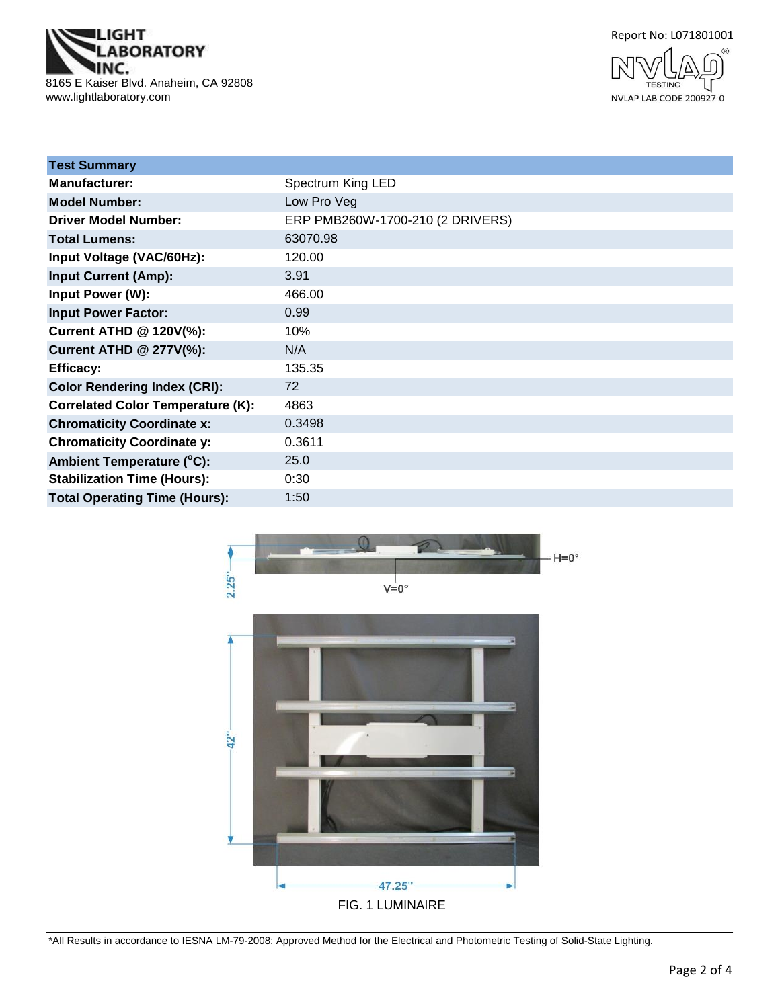**IGHT ABORATORY** NC. 8165 E Kaiser Blvd. Anaheim, CA 92808 www.lightlaboratory.com





| <b>Test Summary</b>                      |                                  |
|------------------------------------------|----------------------------------|
| <b>Manufacturer:</b>                     | Spectrum King LED                |
| <b>Model Number:</b>                     | Low Pro Veg                      |
| <b>Driver Model Number:</b>              | ERP PMB260W-1700-210 (2 DRIVERS) |
| <b>Total Lumens:</b>                     | 63070.98                         |
| Input Voltage (VAC/60Hz):                | 120.00                           |
| <b>Input Current (Amp):</b>              | 3.91                             |
| Input Power (W):                         | 466.00                           |
| <b>Input Power Factor:</b>               | 0.99                             |
| <b>Current ATHD @ 120V(%):</b>           | 10%                              |
| <b>Current ATHD @ 277V(%):</b>           | N/A                              |
| <b>Efficacy:</b>                         | 135.35                           |
| <b>Color Rendering Index (CRI):</b>      | 72                               |
| <b>Correlated Color Temperature (K):</b> | 4863                             |
| <b>Chromaticity Coordinate x:</b>        | 0.3498                           |
| <b>Chromaticity Coordinate y:</b>        | 0.3611                           |
| Ambient Temperature (°C):                | 25.0                             |
| <b>Stabilization Time (Hours):</b>       | 0:30                             |
| <b>Total Operating Time (Hours):</b>     | 1:50                             |

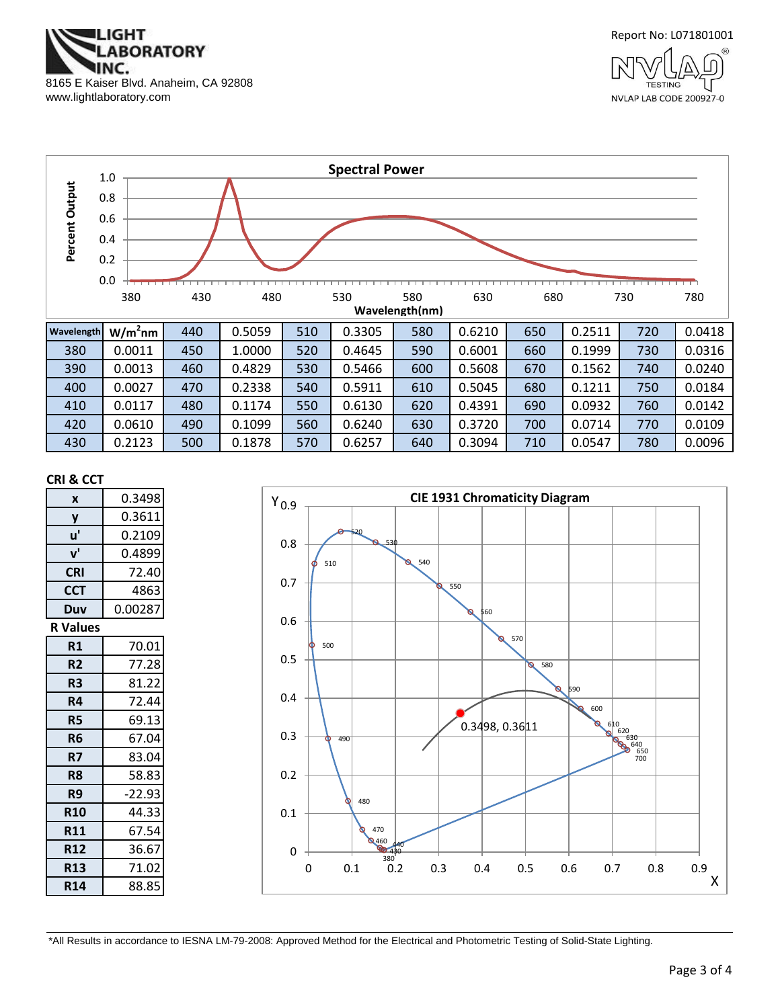



**TESTING** 

NVLAP LAB CODE 200927-0



#### **CRI & CCT**

| X               | 0.3498   |
|-----------------|----------|
| y               | 0.3611   |
| u'              | 0.2109   |
| ${\bf v}'$      | 0.4899   |
| <b>CRI</b>      | 72.40    |
| <b>CCT</b>      | 4863     |
| Duv             | 0.00287  |
| <b>R</b> Values |          |
| R1              | 70.01    |
| R <sub>2</sub>  | 77.28    |
| R3              | 81.22    |
| R4              | 72.44    |
| R5              | 69.13    |
| R <sub>6</sub>  | 67.04    |
| R7              | 83.04    |
| R8              | 58.83    |
| R9              | $-22.93$ |
| <b>R10</b>      | 44.33    |
| <b>R11</b>      | 67.54    |
| <b>R12</b>      | 36.67    |
| <b>R13</b>      | 71.02    |
| <b>R14</b>      | 88.85    |

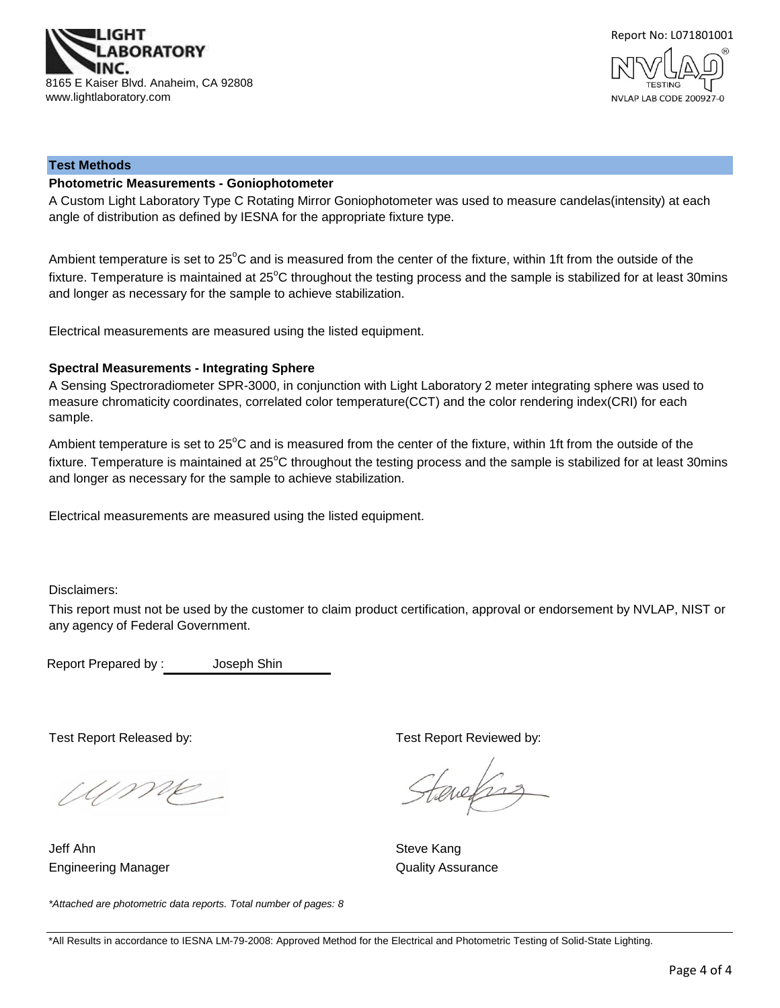



#### **Test Methods**

#### **Photometric Measurements - Goniophotometer**

A Custom Light Laboratory Type C Rotating Mirror Goniophotometer was used to measure candelas(intensity) at each angle of distribution as defined by IESNA for the appropriate fixture type.

Ambient temperature is set to 25°C and is measured from the center of the fixture, within 1ft from the outside of the fixture. Temperature is maintained at  $25^{\circ}$ C throughout the testing process and the sample is stabilized for at least 30mins and longer as necessary for the sample to achieve stabilization.

Electrical measurements are measured using the listed equipment.

#### **Spectral Measurements - Integrating Sphere**

A Sensing Spectroradiometer SPR-3000, in conjunction with Light Laboratory 2 meter integrating sphere was used to measure chromaticity coordinates, correlated color temperature(CCT) and the color rendering index(CRI) for each sample.

Ambient temperature is set to  $25^{\circ}$ C and is measured from the center of the fixture, within 1ft from the outside of the fixture. Temperature is maintained at  $25^{\circ}$ C throughout the testing process and the sample is stabilized for at least 30mins and longer as necessary for the sample to achieve stabilization.

Electrical measurements are measured using the listed equipment.

Disclaimers:

This report must not be used by the customer to claim product certification, approval or endorsement by NVLAP, NIST or any agency of Federal Government.

Report Prepared by : Joseph Shin

*\*Attached are photometric data reports. Total number of pages: 8*

Ume

Jeff Ahn Steve Kang Engineering Manager **Contract Contract Contract Contract Contract Contract Contract Contract Contract Contract Contract Contract Contract Contract Contract Contract Contract Contract Contract Contract Contract Contract Con** 

Test Report Released by: Test Report Reviewed by:

tenefras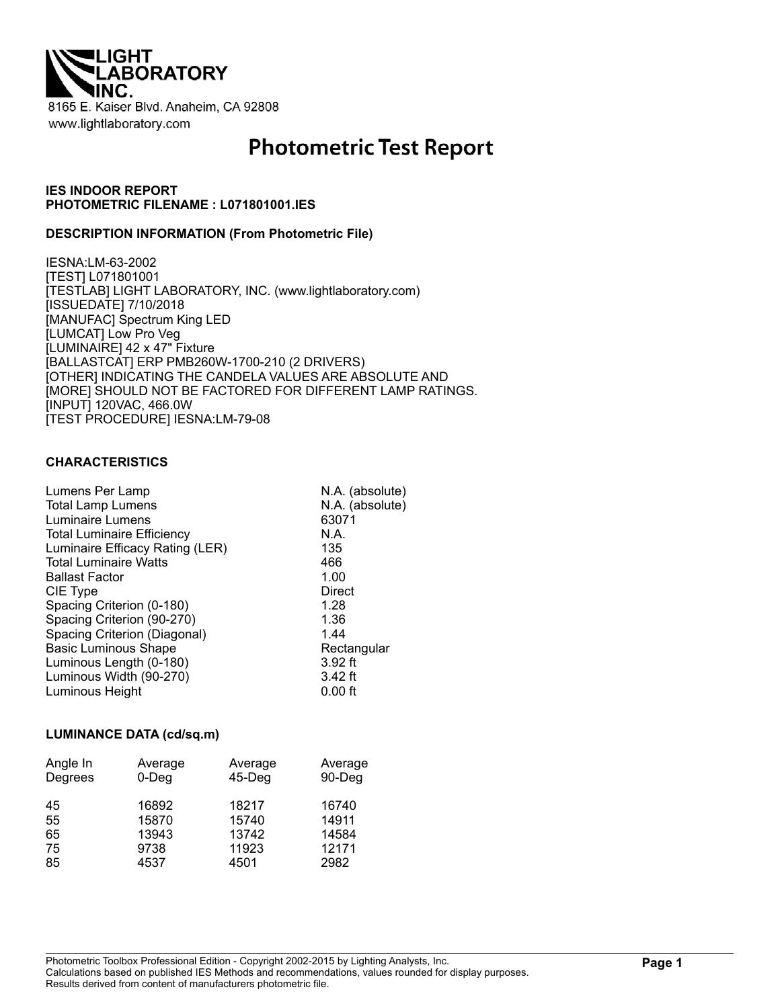

# **Photometric Test Report**

## **IES INDOOR REPORT PHOTOMETRIC FILENAME : L071801001.IES**

#### **DESCRIPTION INFORMATION (From Photometric File)**

IESNA:LM-63-2002 [TEST] L071801001 [TESTLAB] LIGHT LABORATORY, INC. (www.lightlaboratory.com) [ISSUEDATE] 7/10/2018 [MANUFAC] Spectrum King LED [LUMCAT] Low Pro Veg [LUMINAIRE] 42 x 47" Fixture [BALLASTCAT] ERP PMB260W-1700-210 (2 DRIVERS) [OTHER] INDICATING THE CANDELA VALUES ARE ABSOLUTE AND [MORE] SHOULD NOT BE FACTORED FOR DIFFERENT LAMP RATINGS. [INPUT] 120VAC, 466.0W [TEST PROCEDURE] IESNA:LM-79-08

#### **CHARACTERISTICS**

| Lumens Per Lamp                   | N.A. (absolute) |
|-----------------------------------|-----------------|
| <b>Total Lamp Lumens</b>          | N.A. (absolute) |
| Luminaire Lumens                  | 63071           |
| <b>Total Luminaire Efficiency</b> | N.A.            |
| Luminaire Efficacy Rating (LER)   | 135             |
| <b>Total Luminaire Watts</b>      | 466             |
| <b>Ballast Factor</b>             | 1.00            |
| CIE Type                          | Direct          |
| Spacing Criterion (0-180)         | 1.28            |
| Spacing Criterion (90-270)        | 1.36            |
| Spacing Criterion (Diagonal)      | 1.44            |
| <b>Basic Luminous Shape</b>       | Rectangular     |
| Luminous Length (0-180)           | $3.92$ ft       |
| Luminous Width (90-270)           | $3.42$ ft       |
| Luminous Height                   | $0.00$ ft       |
|                                   |                 |

#### **LUMINANCE DATA (cd/sq.m)**

| Angle In<br>Degrees | Average<br>$0$ -Deg | Average<br>45-Deg | Average<br>90-Deg |
|---------------------|---------------------|-------------------|-------------------|
| 45                  | 16892               | 18217             | 16740             |
| 55                  | 15870               | 15740             | 14911             |
| 65                  | 13943               | 13742             | 14584             |
| 75                  | 9738                | 11923             | 12171             |
| 85                  | 4537                | 4501              | 2982              |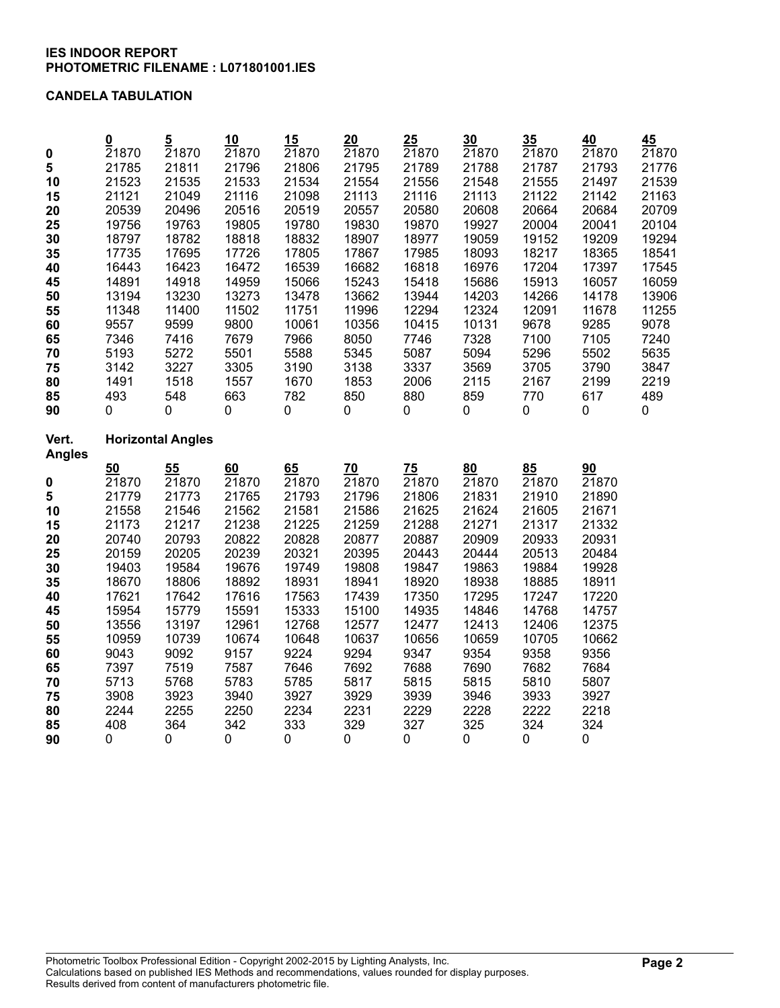## **CANDELA TABULATION**

|                        | $\underline{\mathbf{0}}$ | $\overline{5}$           | 10       | 15       | 20       | 25       | 30                 | 35       | 40       | 45    |
|------------------------|--------------------------|--------------------------|----------|----------|----------|----------|--------------------|----------|----------|-------|
| $\pmb{0}$              | 21870                    | 21870                    | 21870    | 21870    | 21870    | 21870    | 21870              | 21870    | 21870    | 21870 |
| 5                      | 21785                    | 21811                    | 21796    | 21806    | 21795    | 21789    | 21788              | 21787    | 21793    | 21776 |
| 10                     | 21523                    | 21535                    | 21533    | 21534    | 21554    | 21556    | 21548              | 21555    | 21497    | 21539 |
| 15                     | 21121                    | 21049                    | 21116    | 21098    | 21113    | 21116    | 21113              | 21122    | 21142    | 21163 |
| 20                     | 20539                    | 20496                    | 20516    | 20519    | 20557    | 20580    | 20608              | 20664    | 20684    | 20709 |
| 25                     | 19756                    | 19763                    | 19805    | 19780    | 19830    | 19870    | 19927              | 20004    | 20041    | 20104 |
| 30                     | 18797                    | 18782                    | 18818    | 18832    | 18907    | 18977    | 19059              | 19152    | 19209    | 19294 |
| 35                     | 17735                    | 17695                    | 17726    | 17805    | 17867    | 17985    | 18093              | 18217    | 18365    | 18541 |
| 40                     | 16443                    | 16423                    | 16472    | 16539    | 16682    | 16818    | 16976              | 17204    | 17397    | 17545 |
| 45                     | 14891                    | 14918                    | 14959    | 15066    | 15243    | 15418    | 15686              | 15913    | 16057    | 16059 |
| 50                     | 13194                    | 13230                    | 13273    | 13478    | 13662    | 13944    | 14203              | 14266    | 14178    | 13906 |
| 55                     | 11348                    | 11400                    | 11502    | 11751    | 11996    | 12294    | 12324              | 12091    | 11678    | 11255 |
| 60                     | 9557                     | 9599                     | 9800     | 10061    | 10356    | 10415    | 10131              | 9678     | 9285     | 9078  |
| 65                     | 7346                     | 7416                     | 7679     | 7966     | 8050     | 7746     | 7328               | 7100     | 7105     | 7240  |
| 70                     | 5193                     | 5272                     | 5501     | 5588     | 5345     | 5087     | 5094               | 5296     | 5502     | 5635  |
| 75                     | 3142                     | 3227                     | 3305     | 3190     | 3138     | 3337     | 3569               | 3705     | 3790     | 3847  |
| 80                     | 1491                     | 1518                     | 1557     | 1670     | 1853     | 2006     | 2115               | 2167     | 2199     | 2219  |
| 85                     | 493                      | 548                      | 663      | 782      | 850      | 880      | 859                | 770      | 617      | 489   |
| 90                     | 0                        | 0                        | 0        | 0        | 0        | 0        | $\mathbf 0$        | 0        | 0        | 0     |
|                        |                          |                          |          |          |          |          |                    |          |          |       |
| Vert.<br><b>Angles</b> |                          | <b>Horizontal Angles</b> |          |          |          |          |                    |          |          |       |
|                        | 50                       | 55                       | 60       | 65       | 70       | 75       | 80                 | 85       | 90       |       |
| $\pmb{0}$              | 21870                    | 21870                    | 21870    | 21870    | 21870    | 21870    | 21870              | 21870    | 21870    |       |
| 5                      | 21779                    | 21773                    | 21765    | 21793    | 21796    | 21806    | 21831              | 21910    | 21890    |       |
| 10                     | 21558                    | 21546                    | 21562    | 21581    | 21586    | 21625    | 21624              | 21605    | 21671    |       |
| 15                     | 21173                    | 21217                    | 21238    | 21225    | 21259    | 21288    | 21271              | 21317    | 21332    |       |
| 20                     | 20740                    | 20793                    | 20822    | 20828    | 20877    | 20887    | 20909              | 20933    | 20931    |       |
| 25                     |                          |                          |          |          |          |          |                    |          |          |       |
|                        |                          |                          |          |          |          |          |                    |          |          |       |
|                        | 20159                    | 20205                    | 20239    | 20321    | 20395    | 20443    | 20444              | 20513    | 20484    |       |
| 30                     | 19403                    | 19584                    | 19676    | 19749    | 19808    | 19847    | 19863              | 19884    | 19928    |       |
| 35                     | 18670                    | 18806                    | 18892    | 18931    | 18941    | 18920    | 18938              | 18885    | 18911    |       |
| 40                     | 17621                    | 17642                    | 17616    | 17563    | 17439    | 17350    | 17295              | 17247    | 17220    |       |
| 45                     | 15954                    | 15779                    | 15591    | 15333    | 15100    | 14935    | 14846              | 14768    | 14757    |       |
| 50                     | 13556                    | 13197                    | 12961    | 12768    | 12577    | 12477    | 12413              | 12406    | 12375    |       |
| 55                     | 10959                    | 10739                    | 10674    | 10648    | 10637    | 10656    | 10659              | 10705    | 10662    |       |
| 60                     | 9043                     | 9092                     | 9157     | 9224     | 9294     | 9347     | 9354               | 9358     | 9356     |       |
| 65                     | 7397                     | 7519                     | 7587     | 7646     | 7692     | 7688     | 7690               | 7682     | 7684     |       |
| 70                     | 5713                     | 5768                     | 5783     | 5785     | 5817     | 5815     | 5815               | 5810     | 5807     |       |
| 75                     | 3908                     | 3923                     | 3940     | 3927     | 3929     | 3939     | 3946               | 3933     | 3927     |       |
| 80                     | 2244                     | 2255                     | 2250     | 2234     | 2231     | 2229     | 2228               | 2222     | 2218     |       |
| 85<br>90               | 408<br>0                 | 364<br>0                 | 342<br>0 | 333<br>0 | 329<br>0 | 327<br>0 | 325<br>$\mathbf 0$ | 324<br>0 | 324<br>0 |       |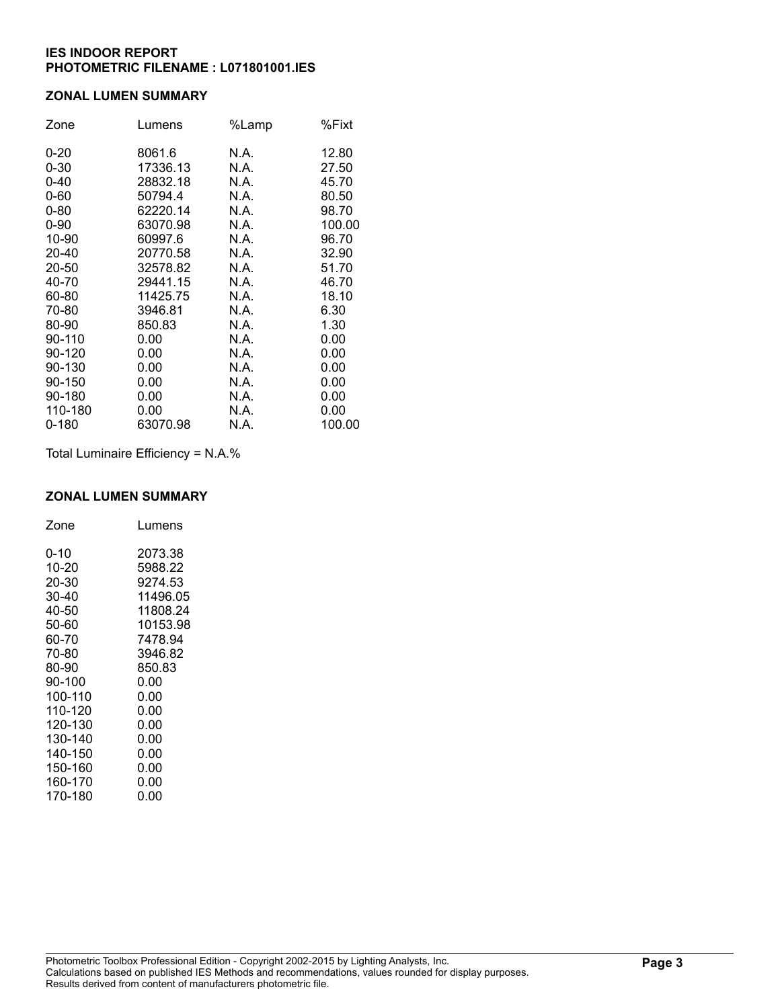## **ZONAL LUMEN SUMMARY**

| Zone      | Lumens   | %Lamp | %Fixt  |
|-----------|----------|-------|--------|
| $0 - 20$  | 8061.6   | N.A.  | 12.80  |
| $0 - 30$  | 17336.13 | N.A.  | 27.50  |
| $0 - 40$  | 28832.18 | N.A.  | 45.70  |
| $0 - 60$  | 50794.4  | N.A.  | 80.50  |
| $0 - 80$  | 62220.14 | N.A.  | 98.70  |
| $0 - 90$  | 63070.98 | N.A.  | 100.00 |
| 10-90     | 60997.6  | N.A.  | 96.70  |
| 20-40     | 20770.58 | N.A.  | 32.90  |
| 20-50     | 32578.82 | N.A.  | 51.70  |
| 40-70     | 29441.15 | N.A.  | 46.70  |
| 60-80     | 11425.75 | N.A.  | 18.10  |
| 70-80     | 3946.81  | N.A.  | 6.30   |
| 80-90     | 850.83   | N.A.  | 1.30   |
| 90-110    | 0.00     | N.A.  | 0.00   |
| 90-120    | 0.00     | N.A.  | 0.00   |
| 90-130    | 0.00     | N.A.  | 0.00   |
| 90-150    | 0.00     | N.A.  | 0.00   |
| 90-180    | 0.00     | N.A.  | 0.00   |
| 110-180   | 0.00     | N.A.  | 0.00   |
| $0 - 180$ | 63070.98 | N.A.  | 100.00 |

Total Luminaire Efficiency = N.A.%

#### **ZONAL LUMEN SUMMARY**

| Zone    | Lumens   |
|---------|----------|
| 0-10    | 2073.38  |
| 10-20   | 5988.22  |
| 20-30   | 9274.53  |
| 30-40   | 11496.05 |
| 40-50   | 11808.24 |
| 50-60   | 10153.98 |
| 60-70   | 7478.94  |
| 70-80   | 3946.82  |
| 80-90   | 850.83   |
| 90-100  | 0.00     |
| 100-110 | 0.00     |
| 110-120 | 0.00     |
| 120-130 | 0.00     |
| 130-140 | 0.00     |
| 140-150 | 0.00     |
| 150-160 | 0.00     |
| 160-170 | 0.00     |
| 170-180 | 0.00     |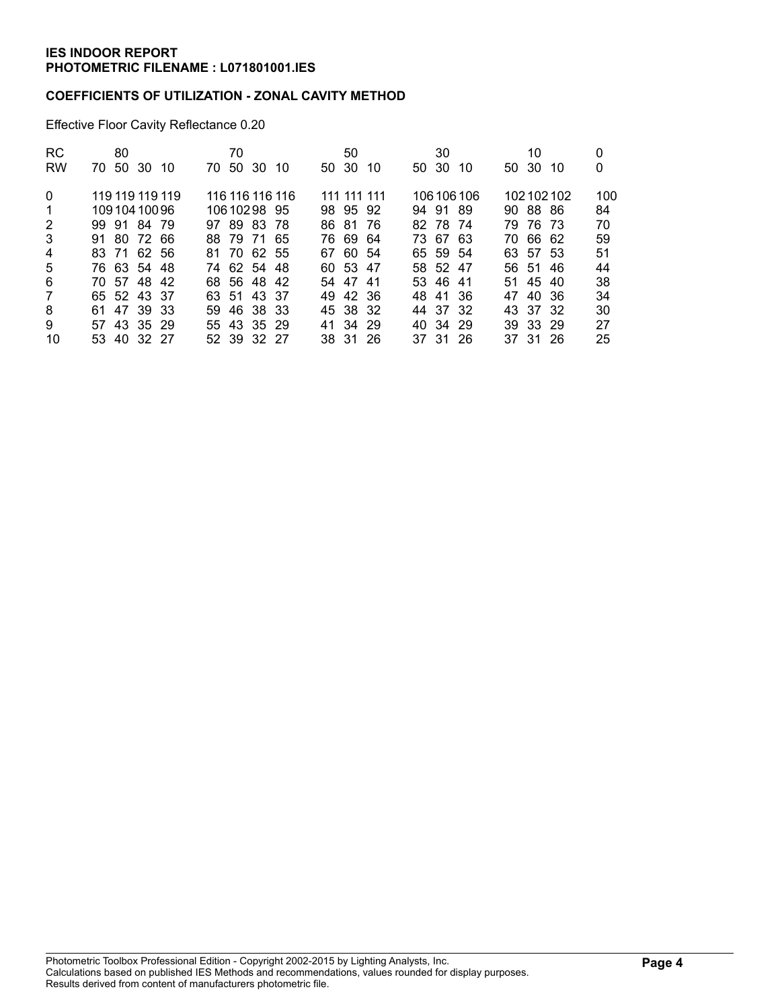## **COEFFICIENTS OF UTILIZATION - ZONAL CAVITY METHOD**

Effective Floor Cavity Reflectance 0.20

| <b>RC</b>      | 80<br>70.       | 70<br>70.       | 50           | 30           | 10           | 0   |
|----------------|-----------------|-----------------|--------------|--------------|--------------|-----|
| <b>RW</b>      | 50 30 10        | 50 30 10        | 50 30 10     | 50 30<br>10  | 50 30<br>-10 | 0   |
| $\Omega$       | 119 119 119 119 | 116 116 116 116 | 111 111 111  | 106 106 106  | 102102102    | 100 |
| 1              | 10910410096     | 10610298 95     | 98 95 92     | 94 91 89     | 90 88 86     | 84  |
| $\overline{2}$ | 99 91 84 79     | 97 89 83 78     | 86 81<br>-76 | 82 78 74     | 79 76 73     | 70  |
| 3              | 91 80 72 66     | 88 79 71 65     | 76.69<br>-64 | 73 67 63     | 70 66 62     | 59  |
| 4              | 83 71 62 56     | 81 70 62 55     | 67 60 54     | 65 59 54     | 63 57 53     | 51  |
| 5              | 76 63 54 48     | 74 62 54 48     | 60 53 47     | 58 52 47     | 56 51<br>46  | 44  |
| 6              | 70 57 48 42     | 68 56 48 42     | 54 47 41     | 53 46 41     | 51 45 40     | 38  |
| $\overline{7}$ | 65 52 43 37     | 63 51 43 37     | 49 42 36     | 48 41 36     | 47 40 36     | 34  |
| 8              | 47 39 33<br>61. | 59 46 38 33     | 45 38 32     | 44 37<br>-32 | 43 37 32     | 30  |
| 9              | 57 43 35 29     | 55 43 35 29     | 41 34 29     | 40 34 29     | 39 33 29     | 27  |
| 10             | 53 40 32 27     | 52 39 32 27     | 38 31 26     | 37 31 26     | 37 31 26     | 25  |